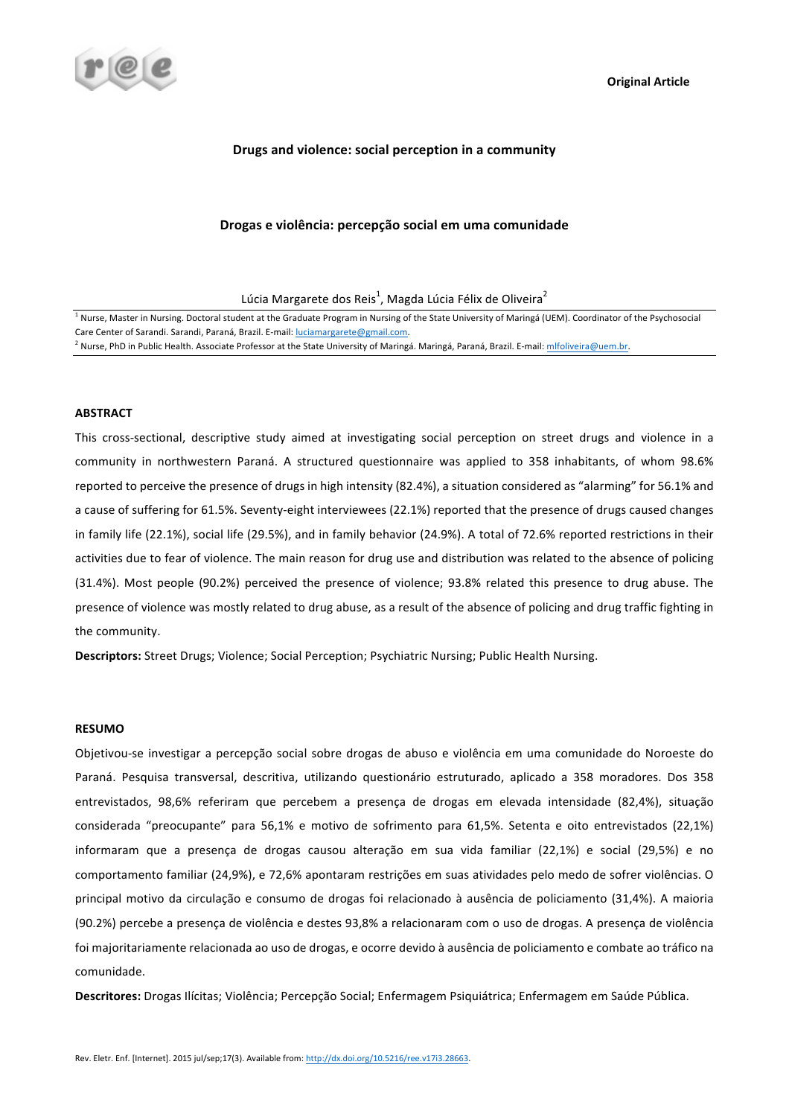

## **Drugs and violence: social perception in a community**

## Drogas e violência: percepção social em uma comunidade

Lúcia Margarete dos Reis $^1$ , Magda Lúcia Félix de Oliveira $^2$ 

 $1$  Nurse. Master in Nursing. Doctoral student at the Graduate Program in Nursing of the State University of Maringá (UEM). Coordinator of the Psychosocial Care Center of Sarandi. Sarandi, Paraná, Brazil. E-mail: luciamargarete@gmail.com. <sup>2</sup> Nurse, PhD in Public Health. Associate Professor at the State University of Maringá. Maringá, Paraná, Brazil. E-mail: mlfoliveira@uem.br.

#### **ABSTRACT**

This cross-sectional, descriptive study aimed at investigating social perception on street drugs and violence in a community in northwestern Paraná. A structured questionnaire was applied to 358 inhabitants, of whom 98.6% reported to perceive the presence of drugs in high intensity (82.4%), a situation considered as "alarming" for 56.1% and a cause of suffering for 61.5%. Seventy-eight interviewees (22.1%) reported that the presence of drugs caused changes in family life (22.1%), social life (29.5%), and in family behavior (24.9%). A total of 72.6% reported restrictions in their activities due to fear of violence. The main reason for drug use and distribution was related to the absence of policing (31.4%). Most people (90.2%) perceived the presence of violence; 93.8% related this presence to drug abuse. The presence of violence was mostly related to drug abuse, as a result of the absence of policing and drug traffic fighting in the community.

Descriptors: Street Drugs; Violence; Social Perception; Psychiatric Nursing; Public Health Nursing.

### **RESUMO**

Objetivou-se investigar a percepção social sobre drogas de abuso e violência em uma comunidade do Noroeste do Paraná. Pesquisa transversal, descritiva, utilizando questionário estruturado, aplicado a 358 moradores. Dos 358 entrevistados, 98,6% referiram que percebem a presença de drogas em elevada intensidade (82,4%), situação considerada "preocupante" para 56,1% e motivo de sofrimento para 61,5%. Setenta e oito entrevistados (22,1%) informaram que a presença de drogas causou alteração em sua vida familiar (22,1%) e social (29,5%) e no comportamento familiar (24,9%), e 72,6% apontaram restrições em suas atividades pelo medo de sofrer violências. O principal motivo da circulação e consumo de drogas foi relacionado à ausência de policiamento (31,4%). A maioria (90.2%) percebe a presença de violência e destes 93,8% a relacionaram com o uso de drogas. A presença de violência foi majoritariamente relacionada ao uso de drogas, e ocorre devido à ausência de policiamento e combate ao tráfico na comunidade.

Descritores: Drogas Ilícitas; Violência; Percepção Social; Enfermagem Psiquiátrica; Enfermagem em Saúde Pública.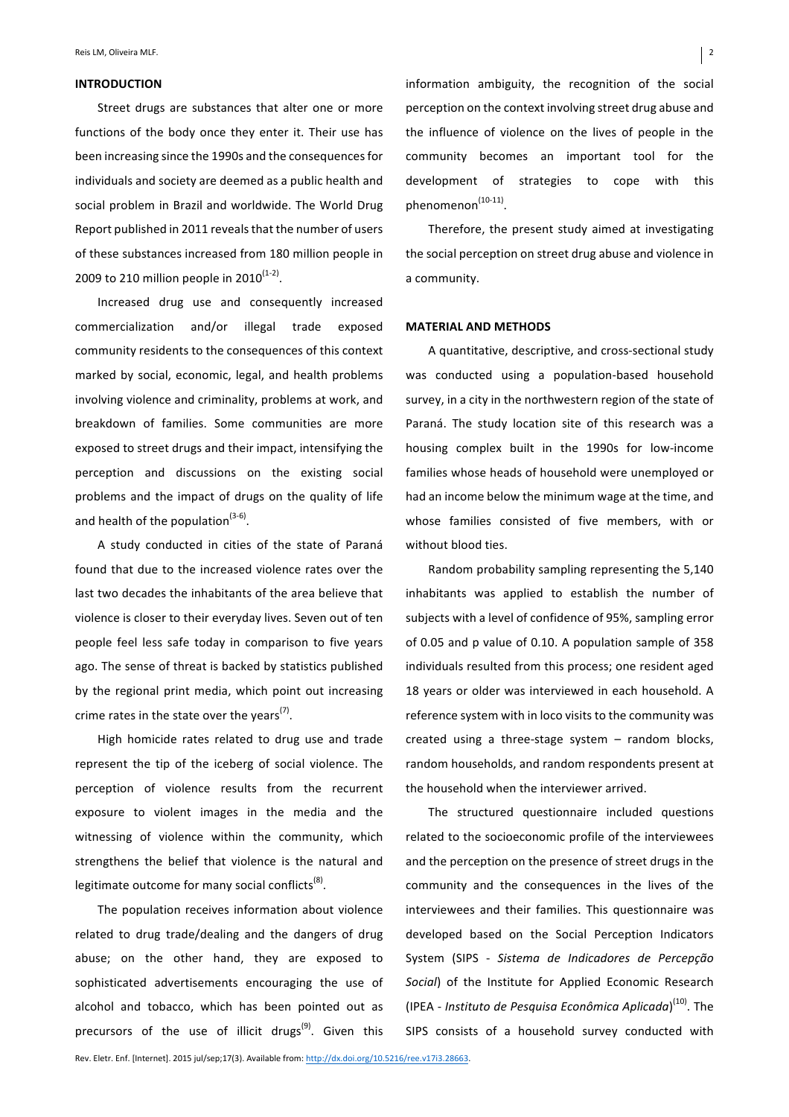#### **INTRODUCTION**

Street drugs are substances that alter one or more functions of the body once they enter it. Their use has been increasing since the 1990s and the consequences for individuals and society are deemed as a public health and social problem in Brazil and worldwide. The World Drug Report published in 2011 reveals that the number of users of these substances increased from 180 million people in 2009 to 210 million people in  $2010^{(1-2)}$ .

Increased drug use and consequently increased commercialization and/or illegal trade exposed community residents to the consequences of this context marked by social, economic, legal, and health problems involving violence and criminality, problems at work, and breakdown of families. Some communities are more exposed to street drugs and their impact, intensifying the perception and discussions on the existing social problems and the impact of drugs on the quality of life and health of the population $(3-6)$ .

A study conducted in cities of the state of Paraná found that due to the increased violence rates over the last two decades the inhabitants of the area believe that violence is closer to their everyday lives. Seven out of ten people feel less safe today in comparison to five years ago. The sense of threat is backed by statistics published by the regional print media, which point out increasing crime rates in the state over the vears<sup>(7)</sup>.

High homicide rates related to drug use and trade represent the tip of the iceberg of social violence. The perception of violence results from the recurrent exposure to violent images in the media and the witnessing of violence within the community, which strengthens the belief that violence is the natural and legitimate outcome for many social conflicts<sup>(8)</sup>.

The population receives information about violence related to drug trade/dealing and the dangers of drug abuse; on the other hand, they are exposed to sophisticated advertisements encouraging the use of alcohol and tobacco, which has been pointed out as precursors of the use of illicit drugs<sup>(9)</sup>. Given this

information ambiguity, the recognition of the social perception on the context involving street drug abuse and the influence of violence on the lives of people in the community becomes an important tool for the development of strategies to cope with this  $phenomenon<sup>(10-11)</sup>.$ 

Therefore, the present study aimed at investigating the social perception on street drug abuse and violence in a community.

### **MATERIAL AND METHODS**

A quantitative, descriptive, and cross-sectional study was conducted using a population-based household survey, in a city in the northwestern region of the state of Paraná. The study location site of this research was a housing complex built in the 1990s for low-income families whose heads of household were unemployed or had an income below the minimum wage at the time, and whose families consisted of five members, with or without blood ties.

Random probability sampling representing the 5,140 inhabitants was applied to establish the number of subjects with a level of confidence of 95%, sampling error of 0.05 and p value of 0.10. A population sample of 358 individuals resulted from this process; one resident aged 18 years or older was interviewed in each household. A reference system with in loco visits to the community was created using a three-stage system  $-$  random blocks, random households, and random respondents present at the household when the interviewer arrived.

The structured questionnaire included questions related to the socioeconomic profile of the interviewees and the perception on the presence of street drugs in the community and the consequences in the lives of the interviewees and their families. This questionnaire was developed based on the Social Perception Indicators System (SIPS - Sistema de Indicadores de Percepção *Social*) of the Institute for Applied Economic Research (IPEA - *Instituto de Pesquisa Econômica Aplicada*)<sup>(10)</sup>. The SIPS consists of a household survey conducted with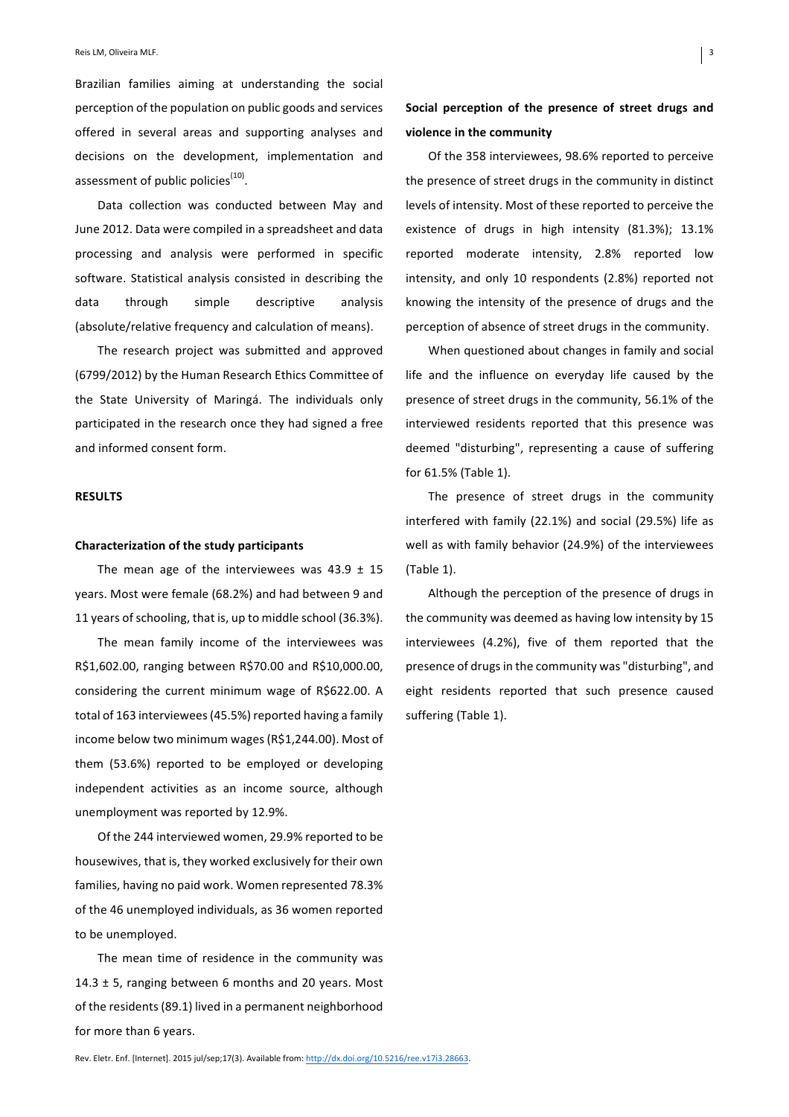Brazilian families aiming at understanding the social perception of the population on public goods and services offered in several areas and supporting analyses and decisions on the development, implementation and assessment of public policies<sup>(10)</sup>.

Data collection was conducted between May and June 2012. Data were compiled in a spreadsheet and data processing and analysis were performed in specific software. Statistical analysis consisted in describing the data through simple descriptive analysis (absolute/relative frequency and calculation of means).

The research project was submitted and approved (6799/2012) by the Human Research Ethics Committee of the State University of Maringá. The individuals only participated in the research once they had signed a free and informed consent form.

#### **RESULTS**

#### **Characterization of the study participants**

The mean age of the interviewees was  $43.9 \pm 15$ years. Most were female (68.2%) and had between 9 and 11 years of schooling, that is, up to middle school (36.3%).

The mean family income of the interviewees was R\$1,602.00, ranging between R\$70.00 and R\$10,000.00, considering the current minimum wage of R\$622.00. A total of 163 interviewees (45.5%) reported having a family income below two minimum wages (R\$1,244.00). Most of them (53.6%) reported to be employed or developing independent activities as an income source, although unemployment was reported by 12.9%.

Of the 244 interviewed women, 29.9% reported to be housewives, that is, they worked exclusively for their own families, having no paid work. Women represented 78.3% of the 46 unemployed individuals, as 36 women reported to be unemployed.

The mean time of residence in the community was 14.3  $\pm$  5, ranging between 6 months and 20 years. Most of the residents (89.1) lived in a permanent neighborhood for more than 6 years.

# Social perception of the presence of street drugs and **violence in the community**

Of the 358 interviewees, 98.6% reported to perceive the presence of street drugs in the community in distinct levels of intensity. Most of these reported to perceive the existence of drugs in high intensity (81.3%); 13.1% reported moderate intensity, 2.8% reported low intensity, and only 10 respondents (2.8%) reported not knowing the intensity of the presence of drugs and the perception of absence of street drugs in the community.

When questioned about changes in family and social life and the influence on everyday life caused by the presence of street drugs in the community, 56.1% of the interviewed residents reported that this presence was deemed "disturbing", representing a cause of suffering for 61.5% (Table 1).

The presence of street drugs in the community interfered with family  $(22.1\%)$  and social  $(29.5\%)$  life as well as with family behavior (24.9%) of the interviewees  $(Table 1).$ 

Although the perception of the presence of drugs in the community was deemed as having low intensity by 15 interviewees (4.2%), five of them reported that the presence of drugs in the community was "disturbing", and eight residents reported that such presence caused suffering (Table 1).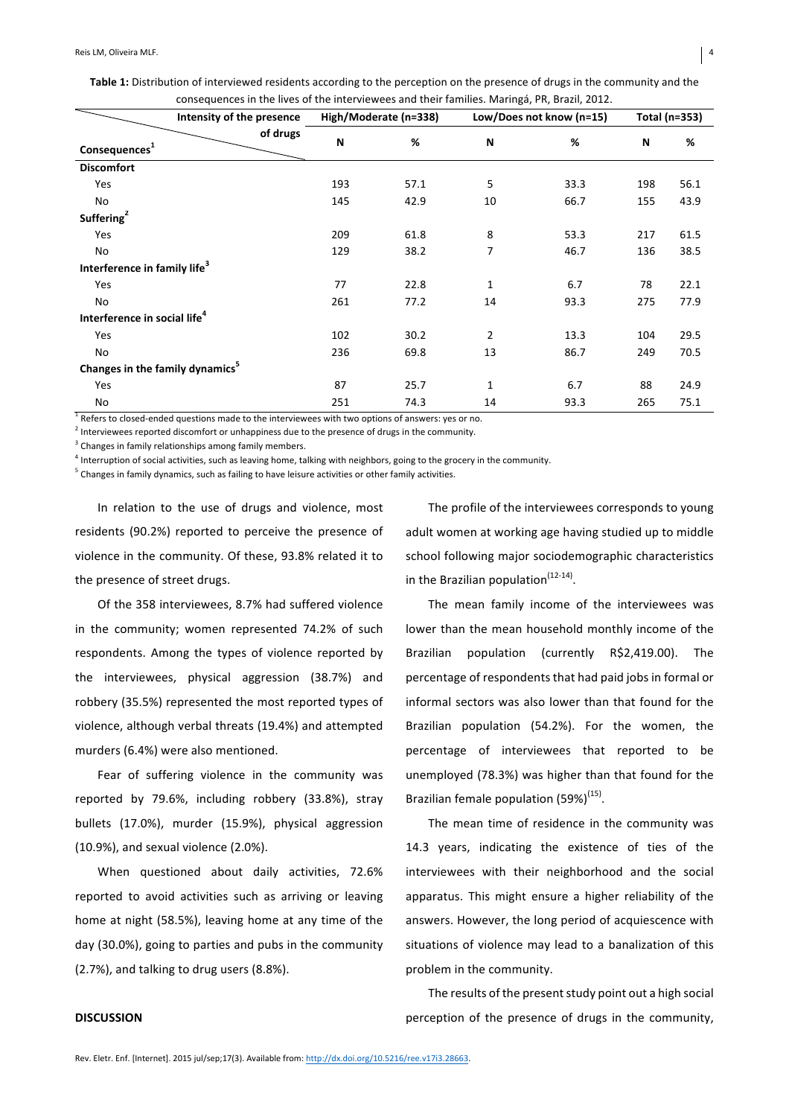|                                          | consequences in the lives of the interviewees and their families. Maringá, PR, Brazil, 2012. |                       |      |                          |      |               |      |
|------------------------------------------|----------------------------------------------------------------------------------------------|-----------------------|------|--------------------------|------|---------------|------|
|                                          | Intensity of the presence                                                                    | High/Moderate (n=338) |      | Low/Does not know (n=15) |      | Total (n=353) |      |
| Consequences <sup>1</sup>                | of drugs                                                                                     | N                     | %    | N                        | %    | N             | %    |
| <b>Discomfort</b>                        |                                                                                              |                       |      |                          |      |               |      |
| Yes                                      |                                                                                              | 193                   | 57.1 | 5                        | 33.3 | 198           | 56.1 |
| No                                       |                                                                                              | 145                   | 42.9 | 10                       | 66.7 | 155           | 43.9 |
| Suffering <sup>2</sup>                   |                                                                                              |                       |      |                          |      |               |      |
| Yes                                      |                                                                                              | 209                   | 61.8 | 8                        | 53.3 | 217           | 61.5 |
| No                                       |                                                                                              | 129                   | 38.2 | 7                        | 46.7 | 136           | 38.5 |
| Interference in family life <sup>3</sup> |                                                                                              |                       |      |                          |      |               |      |

Yes 77 22.8 1 6.7 78 22.1 No 261 77.2 14 93.3 275 77.9

Yes 102 30.2 2 13.3 104 29.5 No 236 69.8 13 86.7 249 70.5

Yes 87 25.7 1 6.7 88 24.9 No 251 74.3 14 93.3 265 75.1

Table 1: Distribution of interviewed residents according to the perception on the presence of drugs in the community and the

 $1$  Refers to closed-ended questions made to the interviewees with two options of answers: yes or no.

 $2$  Interviewees reported discomfort or unhappiness due to the presence of drugs in the community.

 $3$  Changes in family relationships among family members.

**Interference in social life**<sup>4</sup>

**Changes in the family dynamics**<sup>5</sup>

 $^4$  Interruption of social activities, such as leaving home, talking with neighbors, going to the grocery in the community.

 $5$  Changes in family dynamics, such as failing to have leisure activities or other family activities.

In relation to the use of drugs and violence, most residents (90.2%) reported to perceive the presence of violence in the community. Of these, 93.8% related it to the presence of street drugs.

Of the 358 interviewees, 8.7% had suffered violence in the community; women represented 74.2% of such respondents. Among the types of violence reported by the interviewees, physical aggression (38.7%) and robbery (35.5%) represented the most reported types of violence, although verbal threats (19.4%) and attempted murders (6.4%) were also mentioned.

Fear of suffering violence in the community was reported by 79.6%, including robbery (33.8%), stray bullets (17.0%), murder (15.9%), physical aggression  $(10.9\%)$ , and sexual violence  $(2.0\%)$ .

When questioned about daily activities, 72.6% reported to avoid activities such as arriving or leaving home at night (58.5%), leaving home at any time of the day (30.0%), going to parties and pubs in the community (2.7%), and talking to drug users (8.8%).

The profile of the interviewees corresponds to young adult women at working age having studied up to middle school following major sociodemographic characteristics in the Brazilian population $(12-14)$ .

The mean family income of the interviewees was lower than the mean household monthly income of the Brazilian population (currently R\$2,419.00). The percentage of respondents that had paid jobs in formal or informal sectors was also lower than that found for the Brazilian population (54.2%). For the women, the percentage of interviewees that reported to be unemployed (78.3%) was higher than that found for the Brazilian female population  $(59\%)^{(15)}$ .

The mean time of residence in the community was 14.3 years, indicating the existence of ties of the interviewees with their neighborhood and the social apparatus. This might ensure a higher reliability of the answers. However, the long period of acquiescence with situations of violence may lead to a banalization of this problem in the community.

The results of the present study point out a high social perception of the presence of drugs in the community,

## **DISCUSSION**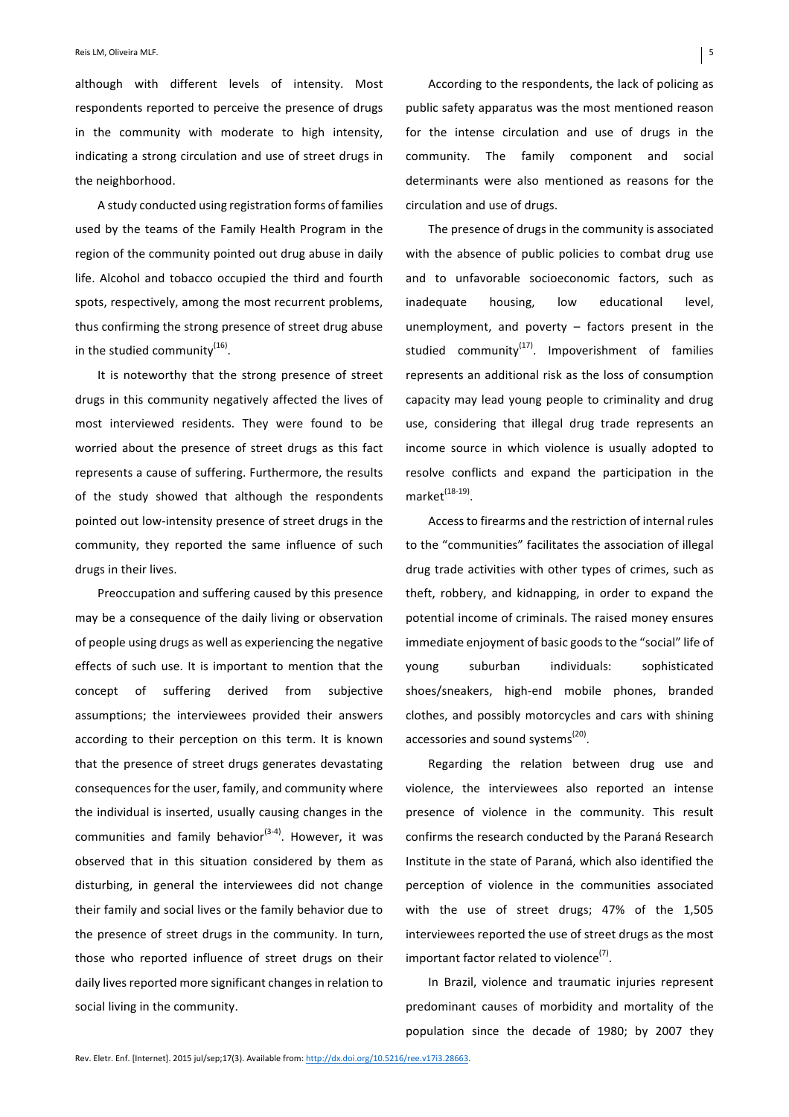although with different levels of intensity. Most respondents reported to perceive the presence of drugs in the community with moderate to high intensity, indicating a strong circulation and use of street drugs in the neighborhood.

A study conducted using registration forms of families used by the teams of the Family Health Program in the region of the community pointed out drug abuse in daily life. Alcohol and tobacco occupied the third and fourth spots, respectively, among the most recurrent problems, thus confirming the strong presence of street drug abuse in the studied community<sup>(16)</sup>.

It is noteworthy that the strong presence of street drugs in this community negatively affected the lives of most interviewed residents. They were found to be worried about the presence of street drugs as this fact represents a cause of suffering. Furthermore, the results of the study showed that although the respondents pointed out low-intensity presence of street drugs in the community, they reported the same influence of such drugs in their lives.

Preoccupation and suffering caused by this presence may be a consequence of the daily living or observation of people using drugs as well as experiencing the negative effects of such use. It is important to mention that the concept of suffering derived from subjective assumptions; the interviewees provided their answers according to their perception on this term. It is known that the presence of street drugs generates devastating consequences for the user, family, and community where the individual is inserted, usually causing changes in the communities and family behavior<sup>(3-4)</sup>. However, it was observed that in this situation considered by them as disturbing, in general the interviewees did not change their family and social lives or the family behavior due to the presence of street drugs in the community. In turn, those who reported influence of street drugs on their daily lives reported more significant changes in relation to social living in the community.

According to the respondents, the lack of policing as public safety apparatus was the most mentioned reason for the intense circulation and use of drugs in the community. The family component and social determinants were also mentioned as reasons for the circulation and use of drugs.

The presence of drugs in the community is associated with the absence of public policies to combat drug use and to unfavorable socioeconomic factors, such as inadequate housing, low educational level, unemployment, and poverty  $-$  factors present in the studied community<sup>(17)</sup>. Impoverishment of families represents an additional risk as the loss of consumption capacity may lead young people to criminality and drug use, considering that illegal drug trade represents an income source in which violence is usually adopted to resolve conflicts and expand the participation in the  $market^{\left(18-19\right)}$ 

Access to firearms and the restriction of internal rules to the "communities" facilitates the association of illegal drug trade activities with other types of crimes, such as theft, robbery, and kidnapping, in order to expand the potential income of criminals. The raised money ensures immediate enjoyment of basic goods to the "social" life of young suburban individuals: sophisticated shoes/sneakers, high-end mobile phones, branded clothes, and possibly motorcycles and cars with shining accessories and sound systems<sup>(20)</sup>.

Regarding the relation between drug use and violence, the interviewees also reported an intense presence of violence in the community. This result confirms the research conducted by the Paraná Research Institute in the state of Paraná, which also identified the perception of violence in the communities associated with the use of street drugs; 47% of the 1,505 interviewees reported the use of street drugs as the most important factor related to violence<sup>(7)</sup>.

In Brazil, violence and traumatic injuries represent predominant causes of morbidity and mortality of the population since the decade of 1980; by 2007 they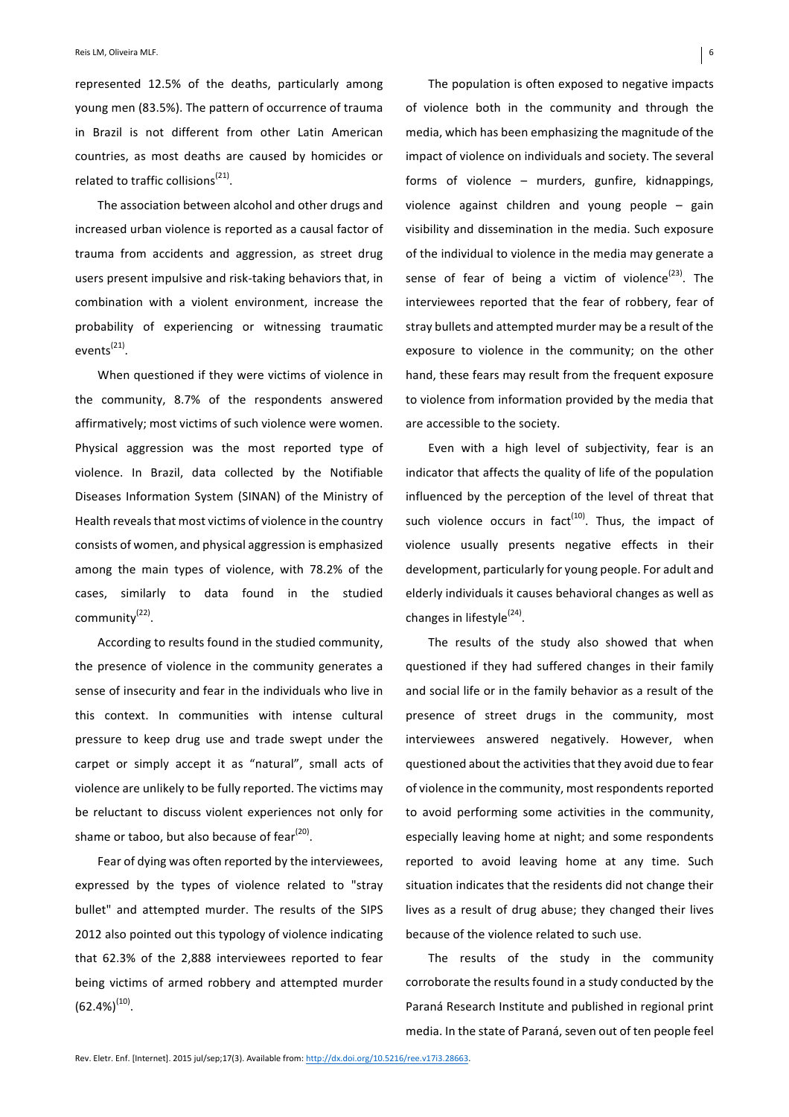represented 12.5% of the deaths, particularly among young men (83.5%). The pattern of occurrence of trauma in Brazil is not different from other Latin American countries, as most deaths are caused by homicides or related to traffic collisions<sup>(21)</sup>.

The association between alcohol and other drugs and increased urban violence is reported as a causal factor of trauma from accidents and aggression, as street drug users present impulsive and risk-taking behaviors that, in combination with a violent environment, increase the probability of experiencing or witnessing traumatic  $events<sup>(21)</sup>$ .

When questioned if they were victims of violence in the community, 8.7% of the respondents answered affirmatively; most victims of such violence were women. Physical aggression was the most reported type of violence. In Brazil, data collected by the Notifiable Diseases Information System (SINAN) of the Ministry of Health reveals that most victims of violence in the country consists of women, and physical aggression is emphasized among the main types of violence, with 78.2% of the cases, similarly to data found in the studied community<sup>(22)</sup>.

According to results found in the studied community, the presence of violence in the community generates a sense of insecurity and fear in the individuals who live in this context. In communities with intense cultural pressure to keep drug use and trade swept under the carpet or simply accept it as "natural", small acts of violence are unlikely to be fully reported. The victims may be reluctant to discuss violent experiences not only for shame or taboo, but also because of fear $^{(20)}$ .

Fear of dying was often reported by the interviewees, expressed by the types of violence related to "stray bullet" and attempted murder. The results of the SIPS 2012 also pointed out this typology of violence indicating that 62.3% of the 2,888 interviewees reported to fear being victims of armed robbery and attempted murder  $(62.4\%)^{(10)}$ .

The population is often exposed to negative impacts of violence both in the community and through the media, which has been emphasizing the magnitude of the impact of violence on individuals and society. The several forms of violence  $-$  murders, gunfire, kidnappings, violence against children and young people  $-$  gain visibility and dissemination in the media. Such exposure of the individual to violence in the media may generate a sense of fear of being a victim of violence<sup>(23)</sup>. The interviewees reported that the fear of robbery, fear of stray bullets and attempted murder may be a result of the exposure to violence in the community; on the other hand, these fears may result from the frequent exposure to violence from information provided by the media that

Even with a high level of subjectivity, fear is an indicator that affects the quality of life of the population influenced by the perception of the level of threat that such violence occurs in  $fact^{(10)}$ . Thus, the impact of violence usually presents negative effects in their development, particularly for young people. For adult and elderly individuals it causes behavioral changes as well as changes in lifestyle $^{(24)}$ .

are accessible to the society.

The results of the study also showed that when questioned if they had suffered changes in their family and social life or in the family behavior as a result of the presence of street drugs in the community, most interviewees answered negatively. However, when questioned about the activities that they avoid due to fear of violence in the community, most respondents reported to avoid performing some activities in the community, especially leaving home at night; and some respondents reported to avoid leaving home at any time. Such situation indicates that the residents did not change their lives as a result of drug abuse; they changed their lives because of the violence related to such use.

The results of the study in the community corroborate the results found in a study conducted by the Paraná Research Institute and published in regional print media. In the state of Paraná, seven out of ten people feel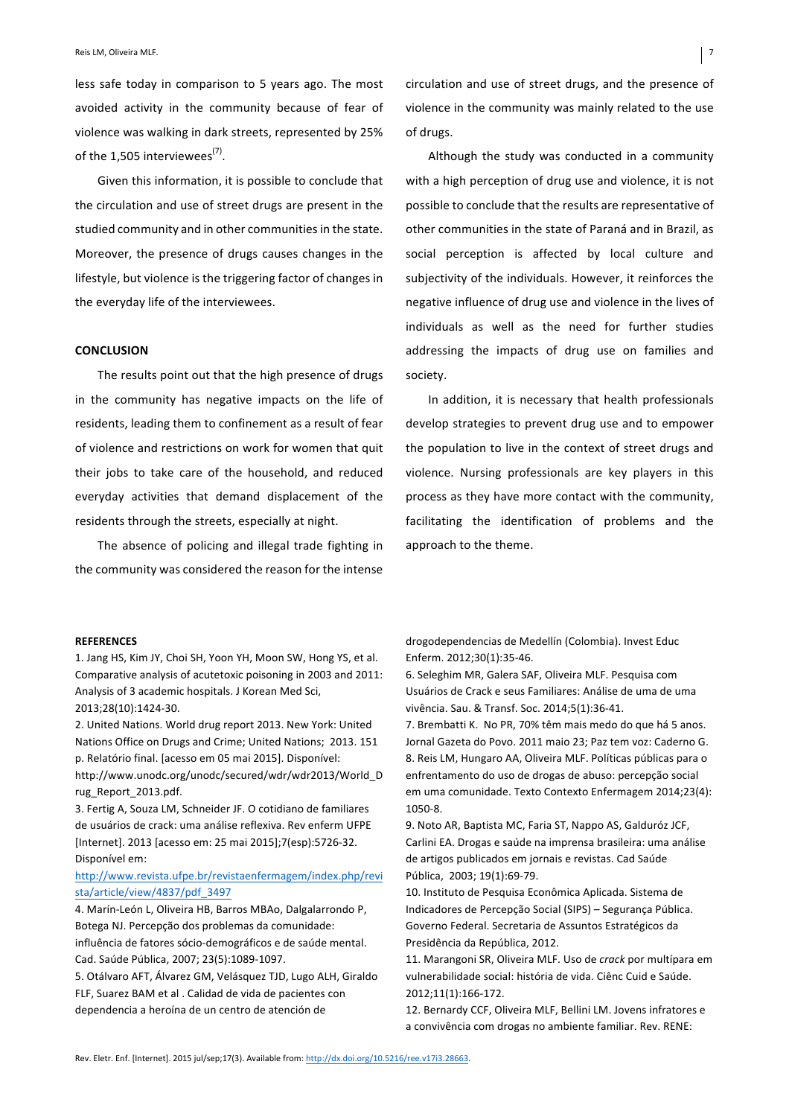less safe today in comparison to 5 years ago. The most avoided activity in the community because of fear of violence was walking in dark streets, represented by 25% of the 1,505 interviewees<sup>(7)</sup>.

Given this information, it is possible to conclude that the circulation and use of street drugs are present in the studied community and in other communities in the state. Moreover, the presence of drugs causes changes in the lifestyle, but violence is the triggering factor of changes in the everyday life of the interviewees.

#### **CONCLUSION**

The results point out that the high presence of drugs in the community has negative impacts on the life of residents, leading them to confinement as a result of fear of violence and restrictions on work for women that quit their jobs to take care of the household, and reduced everyday activities that demand displacement of the residents through the streets, especially at night.

The absence of policing and illegal trade fighting in the community was considered the reason for the intense circulation and use of street drugs, and the presence of violence in the community was mainly related to the use of drugs.

Although the study was conducted in a community with a high perception of drug use and violence, it is not possible to conclude that the results are representative of other communities in the state of Paraná and in Brazil, as social perception is affected by local culture and subjectivity of the individuals. However, it reinforces the negative influence of drug use and violence in the lives of individuals as well as the need for further studies addressing the impacts of drug use on families and society.

In addition, it is necessary that health professionals develop strategies to prevent drug use and to empower the population to live in the context of street drugs and violence. Nursing professionals are key players in this process as they have more contact with the community, facilitating the identification of problems and the approach to the theme.

#### **REFERENCES**

1. Jang HS, Kim JY, Choi SH, Yoon YH, Moon SW, Hong YS, et al. Comparative analysis of acutetoxic poisoning in 2003 and 2011: Analysis of 3 academic hospitals. J Korean Med Sci, 2013;28(10):1424-30.

2. United Nations. World drug report 2013. New York: United Nations Office on Drugs and Crime; United Nations; 2013. 151 p. Relatório final. [acesso em 05 mai 2015]. Disponível: http://www.unodc.org/unodc/secured/wdr/wdr2013/World\_D rug\_Report\_2013.pdf. 

3. Fertig A, Souza LM, Schneider JF. O cotidiano de familiares de usuários de crack: uma análise reflexiva. Rev enferm UFPE [Internet]. 2013 [acesso em: 25 mai 2015];7(esp):5726-32. Disponível em:

## http://www.revista.ufpe.br/revistaenfermagem/index.php/revi sta/article/view/4837/pdf\_3497

4. Marín-León L, Oliveira HB, Barros MBAo, Dalgalarrondo P, Botega NJ. Percepção dos problemas da comunidade: influência de fatores sócio-demográficos e de saúde mental. Cad. Saúde Pública, 2007; 23(5):1089-1097.

5. Otálvaro AFT, Álvarez GM, Velásquez TJD, Lugo ALH, Giraldo FLF, Suarez BAM et al . Calidad de vida de pacientes con dependencia a heroína de un centro de atención de

drogodependencias de Medellín (Colombia). Invest Educ Enferm. 2012;30(1):35-46. 

6. Seleghim MR, Galera SAF, Oliveira MLF. Pesquisa com Usuários de Crack e seus Familiares: Análise de uma de uma vivência. Sau. & Transf. Soc. 2014;5(1):36-41. 

7. Brembatti K. No PR, 70% têm mais medo do que há 5 anos. Jornal Gazeta do Povo. 2011 maio 23; Paz tem voz: Caderno G. 8. Reis LM, Hungaro AA, Oliveira MLF. Políticas públicas para o enfrentamento do uso de drogas de abuso: percepção social em uma comunidade. Texto Contexto Enfermagem 2014;23(4): 1050-8.

9. Noto AR, Baptista MC, Faria ST, Nappo AS, Galduróz JCF, Carlini EA. Drogas e saúde na imprensa brasileira: uma análise de artigos publicados em jornais e revistas. Cad Saúde Pública, 2003; 19(1):69-79.

10. Instituto de Pesquisa Econômica Aplicada. Sistema de Indicadores de Percepção Social (SIPS) - Segurança Pública. Governo Federal. Secretaria de Assuntos Estratégicos da Presidência da República, 2012.

11. Marangoni SR, Oliveira MLF. Uso de *crack* por multípara em vulnerabilidade social: história de vida. Ciênc Cuid e Saúde. 2012;11(1):166-172.

12. Bernardy CCF, Oliveira MLF, Bellini LM. Jovens infratores e a convivência com drogas no ambiente familiar. Rev. RENE: